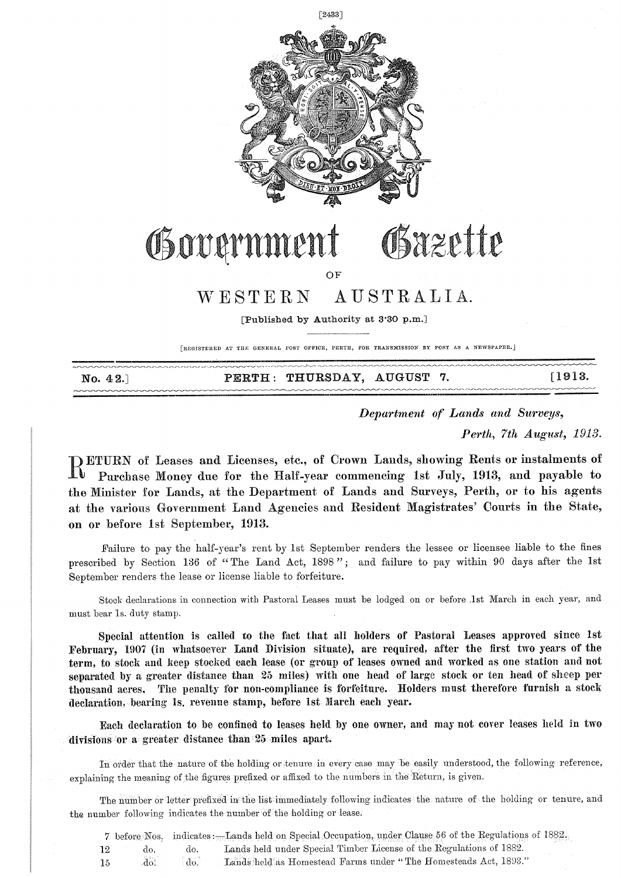

## Government Gsazette

OF

### WESTERN AUSTRALIA.

[Published by Authority at 3'30 p.m.]

[REGISTERED AT THE GENERAL POST OFFICE, PERTH, FOR TRANSMISSION BY POST AS A NEWSPAPER.]

|          | PERTH: THURSDAY, AUGUST 7. |  | [1913] |
|----------|----------------------------|--|--------|
| No. 42.] |                            |  |        |
|          |                            |  |        |

*Department of Lands and Surveys,* 

*Perth, 7th August, 1913.* 

**RETURN** of Leases and Licenses, etc., of Crown Lands, showing Rents or instalments of Purchase Money due for the Half-year commencing 1st July, 1913, and payable to Purchase Money due for the Half-year commencing 1st July, 1913, and payable to the Minister for Lands, at the Department of Lands and Surveys, Perth, or to his agents at the various Government Land Agencies and Resident Magistrates' Courts in the State, on or before 1st September, 1913.

Failure to pay the half-year's rent by 1st September renders the lessee or licensee liable to the fines prescribed by Section 136 of "The Land Act, 1898"; and failure to pay within 90 days after the 1st September renders the lease or license liable to forfeiture.

Stock declarations in connection with Pastoral Leases must be lodged on or before .1st March in each year, and must bear ls. duty stamp.

Special attention is called to the fact that all holders of Pastoral Leases approved since 1st February, 1907 (in whatsoever Land Division situate), are required, after the first two years of the term, to stock and keep stocked each lease (or group of leases owned and worked as one station and not separated by a greater distance than 25 miles) with one head of large stock or ten head of sheep per thousand acres, The penalty for non-compliance is forfeiture. Holders must therefore furnish a stock declaration, bearing ls, revenue stamp, before 1st March each year.

Each declaration to be confined to leases held by one owner, and may not cover leases held in two divisions or a greater distance than 25 miles apart.

In order that the nature of the holding or tenure in every case may be easily understood, the following reference, explaining the meaning of the figures prefixed or affixed to the numbers in the Return, is given.

The number or letter prefixed in the list immediately following indicates the nature of the holding or tenure, and the number following indicates the number 'of'the holding or lease.

7 before Nos, indicates : Lands held on Special Occupation, under Clause 56 of the Regulations of 1882. 12 do. do. Lands held under Special Timber License of the Regulations of 1882. 15 do do Lands held as Homestead Farms under "The Homesteads Act, 1893."